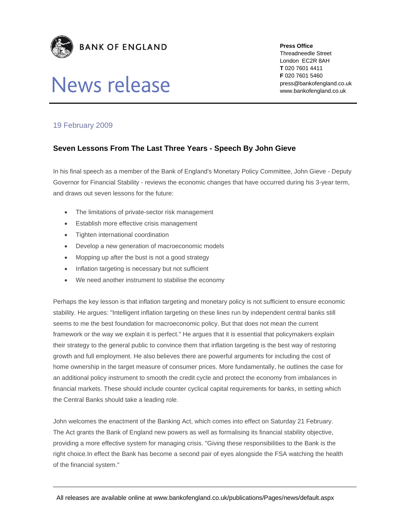

## News release

**Press Office** 

Threadneedle Street London EC2R 8AH **T** 020 7601 4411 **F** 020 7601 5460 press@bankofengland.co.uk www.bankofengland.co.uk

## 19 February 2009

## **Seven Lessons From The Last Three Years - Speech By John Gieve**

In his final speech as a member of the Bank of England's Monetary Policy Committee, John Gieve - Deputy Governor for Financial Stability - reviews the economic changes that have occurred during his 3-year term, and draws out seven lessons for the future:

- The limitations of private-sector risk management
- **Establish more effective crisis management**
- Tighten international coordination
- Develop a new generation of macroeconomic models
- Mopping up after the bust is not a good strategy
- Inflation targeting is necessary but not sufficient
- We need another instrument to stabilise the economy

Perhaps the key lesson is that inflation targeting and monetary policy is not sufficient to ensure economic stability. He argues: "Intelligent inflation targeting on these lines run by independent central banks still seems to me the best foundation for macroeconomic policy. But that does not mean the current framework or the way we explain it is perfect." He argues that it is essential that policymakers explain their strategy to the general public to convince them that inflation targeting is the best way of restoring growth and full employment. He also believes there are powerful arguments for including the cost of home ownership in the target measure of consumer prices. More fundamentally, he outlines the case for an additional policy instrument to smooth the credit cycle and protect the economy from imbalances in financial markets. These should include counter cyclical capital requirements for banks, in setting which the Central Banks should take a leading role.

John welcomes the enactment of the Banking Act, which comes into effect on Saturday 21 February. The Act grants the Bank of England new powers as well as formalising its financial stability objective, providing a more effective system for managing crisis. "Giving these responsibilities to the Bank is the right choice.In effect the Bank has become a second pair of eyes alongside the FSA watching the health of the financial system."